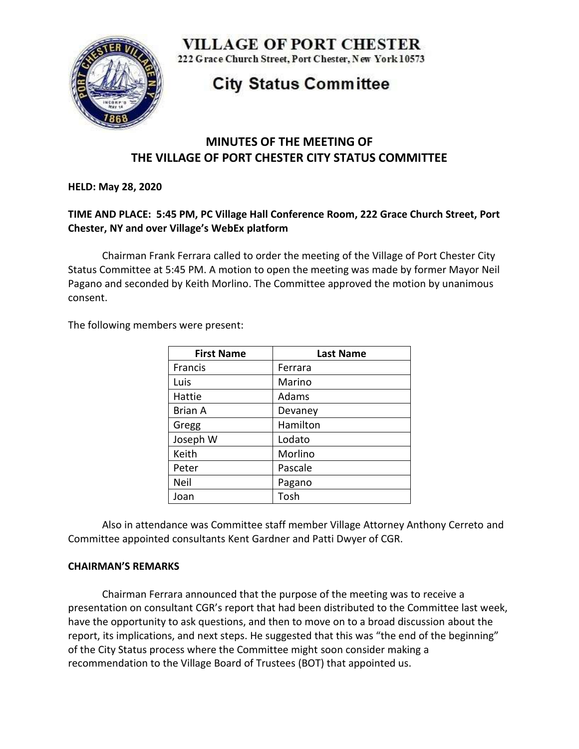

**VILLAGE OF PORT CHESTER** 

222 Grace Church Street, Port Chester, New York 10573

# **City Status Committee**

# **MINUTES OF THE MEETING OF THE VILLAGE OF PORT CHESTER CITY STATUS COMMITTEE**

**HELD: May 28, 2020**

# **TIME AND PLACE: 5:45 PM, PC Village Hall Conference Room, 222 Grace Church Street, Port Chester, NY and over Village's WebEx platform**

Chairman Frank Ferrara called to order the meeting of the Village of Port Chester City Status Committee at 5:45 PM. A motion to open the meeting was made by former Mayor Neil Pagano and seconded by Keith Morlino. The Committee approved the motion by unanimous consent.

The following members were present:

| <b>First Name</b> | <b>Last Name</b> |
|-------------------|------------------|
| Francis           | Ferrara          |
| Luis              | Marino           |
| Hattie            | Adams            |
| <b>Brian A</b>    | Devaney          |
| Gregg             | Hamilton         |
| Joseph W          | Lodato           |
| Keith             | Morlino          |
| Peter             | Pascale          |
| Neil              | Pagano           |
| Joan              | Tosh             |

Also in attendance was Committee staff member Village Attorney Anthony Cerreto and Committee appointed consultants Kent Gardner and Patti Dwyer of CGR.

#### **CHAIRMAN'S REMARKS**

Chairman Ferrara announced that the purpose of the meeting was to receive a presentation on consultant CGR's report that had been distributed to the Committee last week, have the opportunity to ask questions, and then to move on to a broad discussion about the report, its implications, and next steps. He suggested that this was "the end of the beginning" of the City Status process where the Committee might soon consider making a recommendation to the Village Board of Trustees (BOT) that appointed us.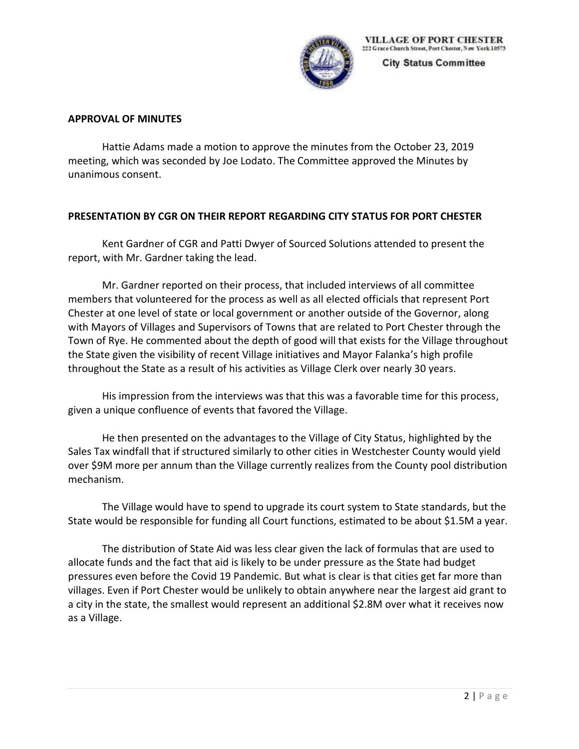

**City Status Committee** 

#### **APPROVAL OF MINUTES**

Hattie Adams made a motion to approve the minutes from the October 23, 2019 meeting, which was seconded by Joe Lodato. The Committee approved the Minutes by unanimous consent.

## **PRESENTATION BY CGR ON THEIR REPORT REGARDING CITY STATUS FOR PORT CHESTER**

Kent Gardner of CGR and Patti Dwyer of Sourced Solutions attended to present the report, with Mr. Gardner taking the lead.

Mr. Gardner reported on their process, that included interviews of all committee members that volunteered for the process as well as all elected officials that represent Port Chester at one level of state or local government or another outside of the Governor, along with Mayors of Villages and Supervisors of Towns that are related to Port Chester through the Town of Rye. He commented about the depth of good will that exists for the Village throughout the State given the visibility of recent Village initiatives and Mayor Falanka's high profile throughout the State as a result of his activities as Village Clerk over nearly 30 years.

His impression from the interviews was that this was a favorable time for this process, given a unique confluence of events that favored the Village.

He then presented on the advantages to the Village of City Status, highlighted by the Sales Tax windfall that if structured similarly to other cities in Westchester County would yield over \$9M more per annum than the Village currently realizes from the County pool distribution mechanism.

The Village would have to spend to upgrade its court system to State standards, but the State would be responsible for funding all Court functions, estimated to be about \$1.5M a year.

The distribution of State Aid was less clear given the lack of formulas that are used to allocate funds and the fact that aid is likely to be under pressure as the State had budget pressures even before the Covid 19 Pandemic. But what is clear is that cities get far more than villages. Even if Port Chester would be unlikely to obtain anywhere near the largest aid grant to a city in the state, the smallest would represent an additional \$2.8M over what it receives now as a Village.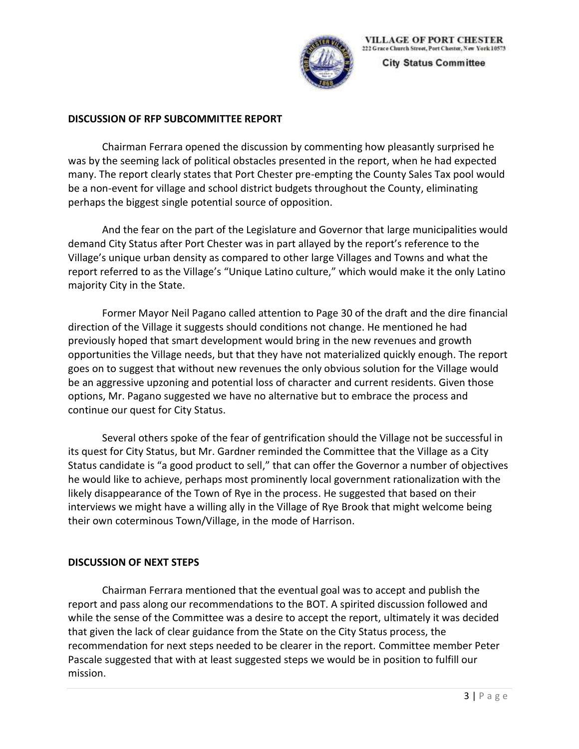

**VILLAGE OF PORT CHESTER** 222 Grace Church Street, Port Chester, New York 10573

**City Status Committee** 

## **DISCUSSION OF RFP SUBCOMMITTEE REPORT**

Chairman Ferrara opened the discussion by commenting how pleasantly surprised he was by the seeming lack of political obstacles presented in the report, when he had expected many. The report clearly states that Port Chester pre-empting the County Sales Tax pool would be a non-event for village and school district budgets throughout the County, eliminating perhaps the biggest single potential source of opposition.

And the fear on the part of the Legislature and Governor that large municipalities would demand City Status after Port Chester was in part allayed by the report's reference to the Village's unique urban density as compared to other large Villages and Towns and what the report referred to as the Village's "Unique Latino culture," which would make it the only Latino majority City in the State.

Former Mayor Neil Pagano called attention to Page 30 of the draft and the dire financial direction of the Village it suggests should conditions not change. He mentioned he had previously hoped that smart development would bring in the new revenues and growth opportunities the Village needs, but that they have not materialized quickly enough. The report goes on to suggest that without new revenues the only obvious solution for the Village would be an aggressive upzoning and potential loss of character and current residents. Given those options, Mr. Pagano suggested we have no alternative but to embrace the process and continue our quest for City Status.

Several others spoke of the fear of gentrification should the Village not be successful in its quest for City Status, but Mr. Gardner reminded the Committee that the Village as a City Status candidate is "a good product to sell," that can offer the Governor a number of objectives he would like to achieve, perhaps most prominently local government rationalization with the likely disappearance of the Town of Rye in the process. He suggested that based on their interviews we might have a willing ally in the Village of Rye Brook that might welcome being their own coterminous Town/Village, in the mode of Harrison.

# **DISCUSSION OF NEXT STEPS**

Chairman Ferrara mentioned that the eventual goal was to accept and publish the report and pass along our recommendations to the BOT. A spirited discussion followed and while the sense of the Committee was a desire to accept the report, ultimately it was decided that given the lack of clear guidance from the State on the City Status process, the recommendation for next steps needed to be clearer in the report. Committee member Peter Pascale suggested that with at least suggested steps we would be in position to fulfill our mission.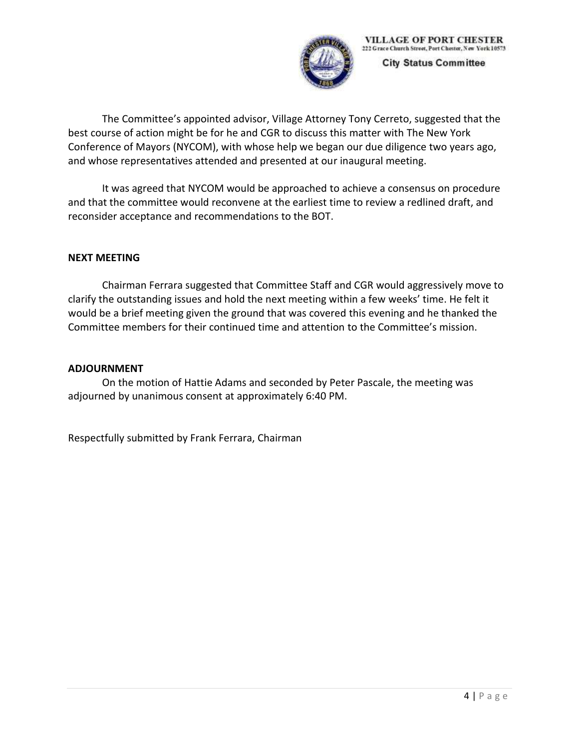

**VILLAGE OF PORT CHESTER** 222 Grace Church Street, Port Chester, New York 10573

**City Status Committee** 

The Committee's appointed advisor, Village Attorney Tony Cerreto, suggested that the best course of action might be for he and CGR to discuss this matter with The New York Conference of Mayors (NYCOM), with whose help we began our due diligence two years ago, and whose representatives attended and presented at our inaugural meeting.

It was agreed that NYCOM would be approached to achieve a consensus on procedure and that the committee would reconvene at the earliest time to review a redlined draft, and reconsider acceptance and recommendations to the BOT.

#### **NEXT MEETING**

Chairman Ferrara suggested that Committee Staff and CGR would aggressively move to clarify the outstanding issues and hold the next meeting within a few weeks' time. He felt it would be a brief meeting given the ground that was covered this evening and he thanked the Committee members for their continued time and attention to the Committee's mission.

#### **ADJOURNMENT**

On the motion of Hattie Adams and seconded by Peter Pascale, the meeting was adjourned by unanimous consent at approximately 6:40 PM.

Respectfully submitted by Frank Ferrara, Chairman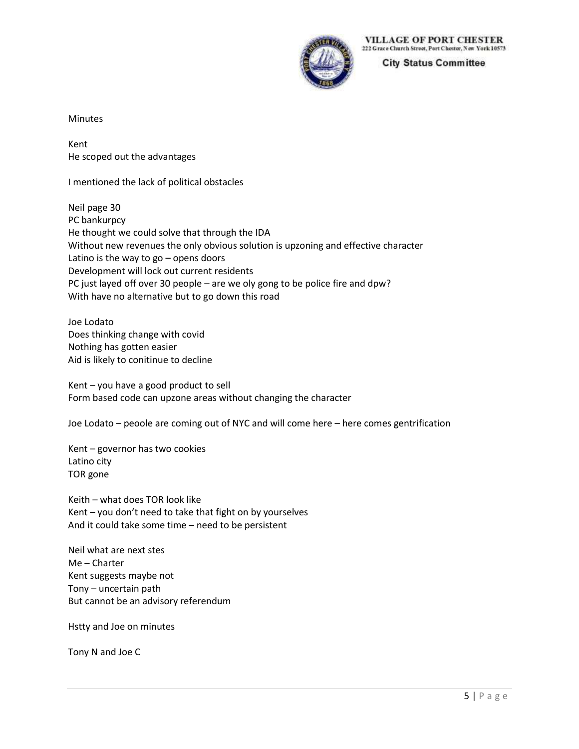

**VILLAGE OF PORT CHESTER** 222 Grace Church Street, Port Chester, New York 10573

**City Status Committee** 

Minutes

Kent He scoped out the advantages

I mentioned the lack of political obstacles

Neil page 30 PC bankurpcy He thought we could solve that through the IDA Without new revenues the only obvious solution is upzoning and effective character Latino is the way to  $go$  – opens doors Development will lock out current residents PC just layed off over 30 people – are we oly gong to be police fire and dpw? With have no alternative but to go down this road

Joe Lodato Does thinking change with covid Nothing has gotten easier Aid is likely to conitinue to decline

Kent – you have a good product to sell Form based code can upzone areas without changing the character

Joe Lodato – peoole are coming out of NYC and will come here – here comes gentrification

Kent – governor has two cookies Latino city TOR gone

Keith – what does TOR look like Kent – you don't need to take that fight on by yourselves And it could take some time – need to be persistent

Neil what are next stes Me – Charter Kent suggests maybe not Tony – uncertain path But cannot be an advisory referendum

Hstty and Joe on minutes

Tony N and Joe C